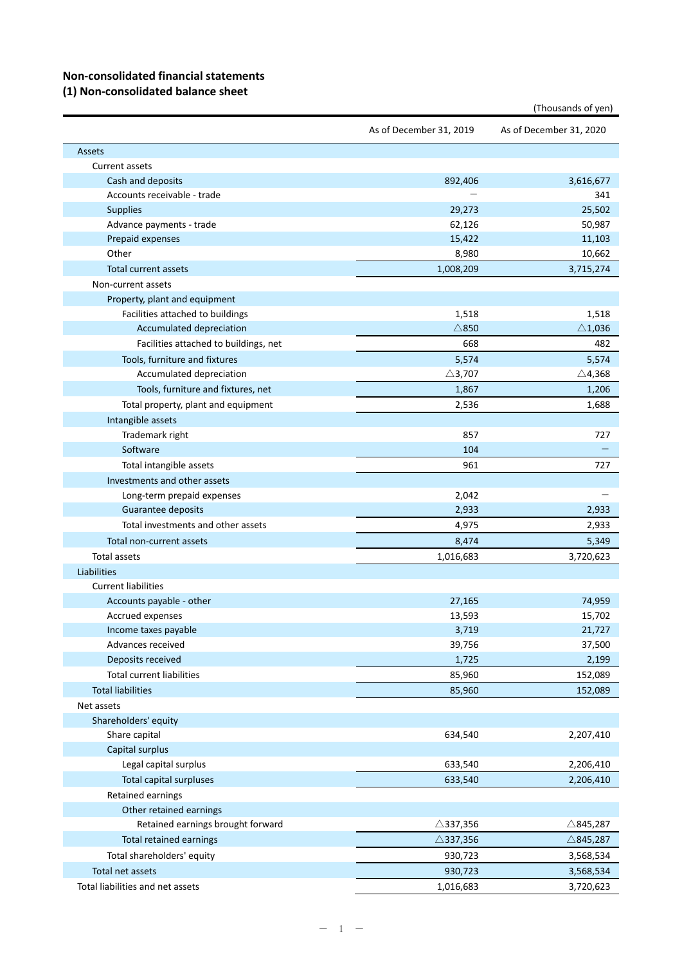# **Non‐consolidated financial statements**

#### **(1) Non‐consolidated balance sheet**

| As of December 31, 2019<br>As of December 31, 2020<br><b>Assets</b><br><b>Current assets</b><br>Cash and deposits<br>892,406<br>3,616,677<br>Accounts receivable - trade<br>341<br>25,502<br><b>Supplies</b><br>29,273<br>62,126<br>Advance payments - trade<br>50,987<br>15,422<br>Prepaid expenses<br>11,103<br>Other<br>8,980<br>10,662 |
|--------------------------------------------------------------------------------------------------------------------------------------------------------------------------------------------------------------------------------------------------------------------------------------------------------------------------------------------|
|                                                                                                                                                                                                                                                                                                                                            |
|                                                                                                                                                                                                                                                                                                                                            |
|                                                                                                                                                                                                                                                                                                                                            |
|                                                                                                                                                                                                                                                                                                                                            |
|                                                                                                                                                                                                                                                                                                                                            |
|                                                                                                                                                                                                                                                                                                                                            |
|                                                                                                                                                                                                                                                                                                                                            |
|                                                                                                                                                                                                                                                                                                                                            |
|                                                                                                                                                                                                                                                                                                                                            |
| 1,008,209<br>Total current assets<br>3,715,274                                                                                                                                                                                                                                                                                             |
| Non-current assets                                                                                                                                                                                                                                                                                                                         |
| Property, plant and equipment                                                                                                                                                                                                                                                                                                              |
| Facilities attached to buildings<br>1,518<br>1,518                                                                                                                                                                                                                                                                                         |
| $\triangle$ 850<br>Accumulated depreciation<br>$\triangle$ 1,036                                                                                                                                                                                                                                                                           |
| 668<br>482<br>Facilities attached to buildings, net                                                                                                                                                                                                                                                                                        |
| Tools, furniture and fixtures<br>5,574<br>5,574                                                                                                                                                                                                                                                                                            |
| Accumulated depreciation<br>$\triangle$ 3,707<br>$\triangle$ 4,368                                                                                                                                                                                                                                                                         |
| Tools, furniture and fixtures, net<br>1,206<br>1,867                                                                                                                                                                                                                                                                                       |
| Total property, plant and equipment<br>2,536<br>1,688                                                                                                                                                                                                                                                                                      |
| Intangible assets                                                                                                                                                                                                                                                                                                                          |
| Trademark right<br>857<br>727                                                                                                                                                                                                                                                                                                              |
| Software<br>104                                                                                                                                                                                                                                                                                                                            |
| Total intangible assets<br>961<br>727                                                                                                                                                                                                                                                                                                      |
| Investments and other assets                                                                                                                                                                                                                                                                                                               |
| Long-term prepaid expenses<br>2,042                                                                                                                                                                                                                                                                                                        |
| Guarantee deposits<br>2,933<br>2,933                                                                                                                                                                                                                                                                                                       |
| Total investments and other assets<br>2,933<br>4,975                                                                                                                                                                                                                                                                                       |
| Total non-current assets<br>8,474<br>5,349                                                                                                                                                                                                                                                                                                 |
| <b>Total assets</b><br>1,016,683<br>3,720,623                                                                                                                                                                                                                                                                                              |
| Liabilities                                                                                                                                                                                                                                                                                                                                |
| <b>Current liabilities</b>                                                                                                                                                                                                                                                                                                                 |
| Accounts payable - other<br>74,959<br>27,165                                                                                                                                                                                                                                                                                               |
| 13,593<br>15,702<br>Accrued expenses                                                                                                                                                                                                                                                                                                       |
| Income taxes payable<br>3,719<br>21,727                                                                                                                                                                                                                                                                                                    |
| Advances received<br>39,756<br>37,500                                                                                                                                                                                                                                                                                                      |
| Deposits received<br>1,725<br>2,199                                                                                                                                                                                                                                                                                                        |
| <b>Total current liabilities</b><br>85,960<br>152,089                                                                                                                                                                                                                                                                                      |
| <b>Total liabilities</b><br>85,960<br>152,089                                                                                                                                                                                                                                                                                              |
| Net assets                                                                                                                                                                                                                                                                                                                                 |
| Shareholders' equity                                                                                                                                                                                                                                                                                                                       |
| Share capital<br>634,540<br>2,207,410                                                                                                                                                                                                                                                                                                      |
| Capital surplus                                                                                                                                                                                                                                                                                                                            |
| Legal capital surplus<br>633,540<br>2,206,410                                                                                                                                                                                                                                                                                              |
| <b>Total capital surpluses</b><br>633,540<br>2,206,410                                                                                                                                                                                                                                                                                     |
| Retained earnings                                                                                                                                                                                                                                                                                                                          |
| Other retained earnings                                                                                                                                                                                                                                                                                                                    |
| Retained earnings brought forward<br>$\triangle$ 337,356<br>$\triangle$ 845,287                                                                                                                                                                                                                                                            |
| <b>Total retained earnings</b><br>$\triangle$ 337,356<br>$\triangle$ 845,287                                                                                                                                                                                                                                                               |
| Total shareholders' equity<br>930,723<br>3,568,534                                                                                                                                                                                                                                                                                         |
| Total net assets<br>930,723<br>3,568,534                                                                                                                                                                                                                                                                                                   |
| Total liabilities and net assets<br>1,016,683<br>3,720,623                                                                                                                                                                                                                                                                                 |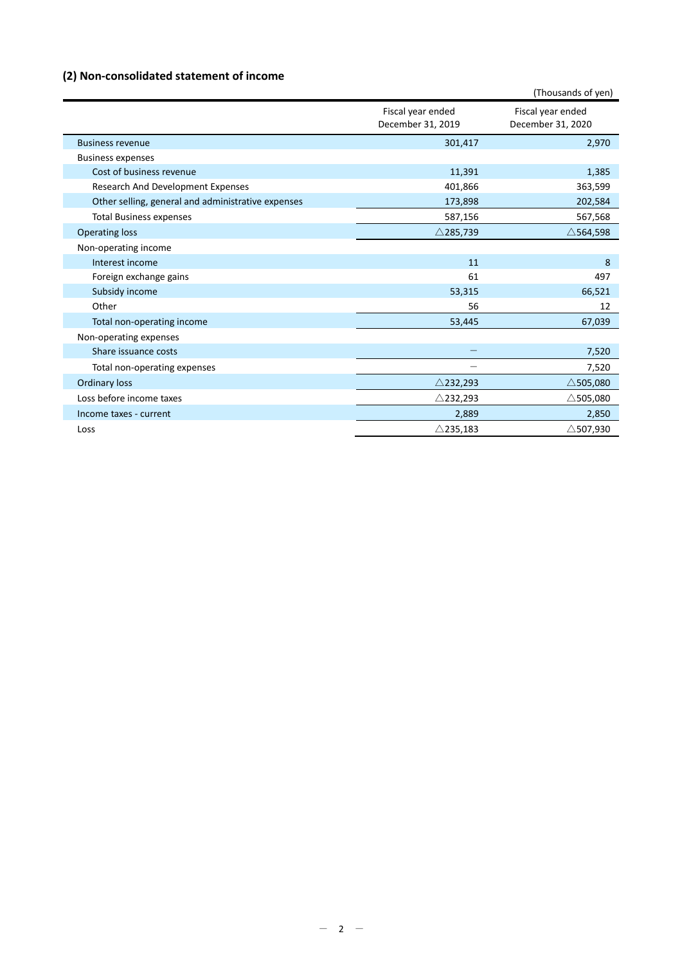# **(2) Non‐consolidated statement of income**

|                                                    |                                        | (Thousands of yen)                     |
|----------------------------------------------------|----------------------------------------|----------------------------------------|
|                                                    | Fiscal year ended<br>December 31, 2019 | Fiscal year ended<br>December 31, 2020 |
| <b>Business revenue</b>                            | 301,417                                | 2,970                                  |
| <b>Business expenses</b>                           |                                        |                                        |
| Cost of business revenue                           | 11,391                                 | 1,385                                  |
| Research And Development Expenses                  | 401,866                                | 363,599                                |
| Other selling, general and administrative expenses | 173,898                                | 202,584                                |
| <b>Total Business expenses</b>                     | 587,156                                | 567,568                                |
| <b>Operating loss</b>                              | $\triangle$ 285,739                    | $\triangle$ 564,598                    |
| Non-operating income                               |                                        |                                        |
| Interest income                                    | 11                                     | 8                                      |
| Foreign exchange gains                             | 61                                     | 497                                    |
| Subsidy income                                     | 53,315                                 | 66,521                                 |
| Other                                              | 56                                     | 12                                     |
| Total non-operating income                         | 53,445                                 | 67,039                                 |
| Non-operating expenses                             |                                        |                                        |
| Share issuance costs                               |                                        | 7,520                                  |
| Total non-operating expenses                       |                                        | 7,520                                  |
| <b>Ordinary loss</b>                               | $\triangle$ 232,293                    | $\triangle$ 505,080                    |
| Loss before income taxes                           | $\triangle$ 232,293                    | $\triangle$ 505,080                    |
| Income taxes - current                             | 2,889                                  | 2,850                                  |
| Loss                                               | $\triangle$ 235,183                    | $\triangle$ 507,930                    |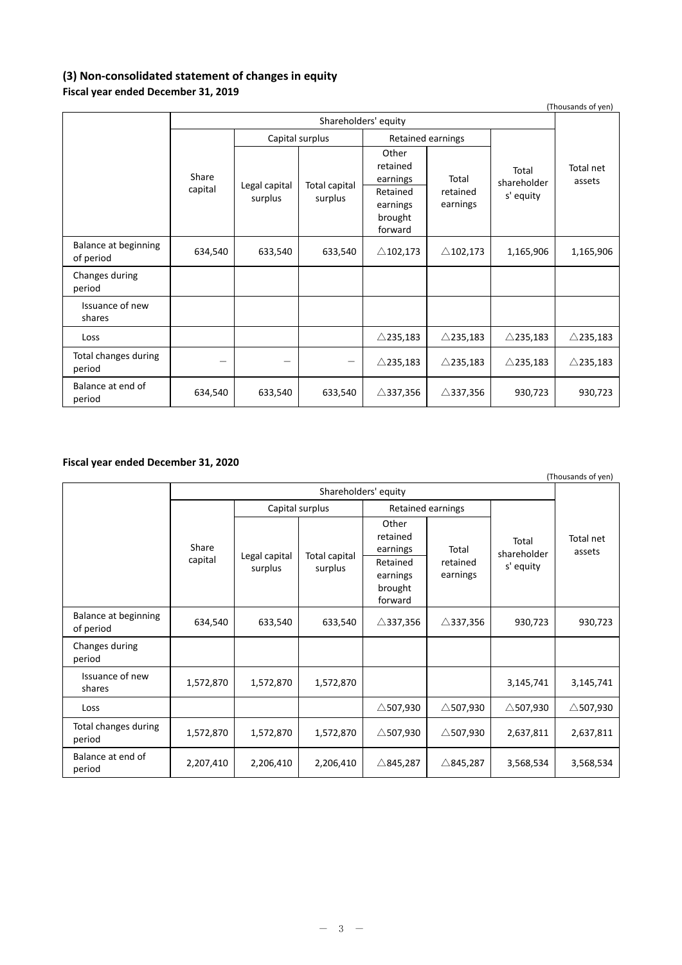### **(3) Non‐consolidated statement of changes in equity Fiscal year ended December 31, 2019**

| (Thousands of yen)                       |                          |                          |                                           |                          |                                   |                     |                     |
|------------------------------------------|--------------------------|--------------------------|-------------------------------------------|--------------------------|-----------------------------------|---------------------|---------------------|
|                                          | Shareholders' equity     |                          |                                           |                          |                                   |                     |                     |
|                                          |                          | Capital surplus          |                                           | <b>Retained earnings</b> |                                   |                     |                     |
| Share<br>capital                         | Legal capital<br>surplus | Total capital<br>surplus | Other<br>retained<br>earnings<br>Retained | Total<br>retained        | Total<br>shareholder<br>s' equity | Total net<br>assets |                     |
|                                          |                          |                          | earnings<br>brought<br>forward            | earnings                 |                                   |                     |                     |
| <b>Balance at beginning</b><br>of period | 634,540                  | 633,540                  | 633,540                                   | $\triangle$ 102,173      | $\triangle$ 102,173               | 1,165,906           | 1,165,906           |
| Changes during<br>period                 |                          |                          |                                           |                          |                                   |                     |                     |
| Issuance of new<br>shares                |                          |                          |                                           |                          |                                   |                     |                     |
| Loss                                     |                          |                          |                                           | $\triangle$ 235,183      | $\triangle$ 235,183               | $\triangle$ 235,183 | $\triangle$ 235,183 |
| Total changes during<br>period           | —                        | -                        | -                                         | $\triangle$ 235,183      | $\triangle$ 235,183               | $\triangle$ 235,183 | $\triangle$ 235,183 |
| Balance at end of<br>period              | 634,540                  | 633,540                  | 633,540                                   | $\triangle$ 337,356      | $\triangle$ 337,356               | 930,723             | 930,723             |

## **Fiscal year ended December 31, 2020**

|                                   |                      |                          |                          |                                                                             |                               |                                   | (Thousands of yen)  |
|-----------------------------------|----------------------|--------------------------|--------------------------|-----------------------------------------------------------------------------|-------------------------------|-----------------------------------|---------------------|
|                                   | Shareholders' equity |                          |                          |                                                                             |                               |                                   |                     |
|                                   | Share<br>capital     | Capital surplus          |                          | Retained earnings                                                           |                               |                                   |                     |
|                                   |                      | Legal capital<br>surplus | Total capital<br>surplus | Other<br>retained<br>earnings<br>Retained<br>earnings<br>brought<br>forward | Total<br>retained<br>earnings | Total<br>shareholder<br>s' equity | Total net<br>assets |
| Balance at beginning<br>of period | 634,540              | 633,540                  | 633,540                  | $\triangle$ 337,356                                                         | $\triangle$ 337,356           | 930,723                           | 930,723             |
| Changes during<br>period          |                      |                          |                          |                                                                             |                               |                                   |                     |
| Issuance of new<br>shares         | 1,572,870            | 1,572,870                | 1,572,870                |                                                                             |                               | 3,145,741                         | 3,145,741           |
| Loss                              |                      |                          |                          | $\triangle$ 507,930                                                         | $\triangle$ 507,930           | $\triangle$ 507,930               | $\triangle$ 507,930 |
| Total changes during<br>period    | 1,572,870            | 1,572,870                | 1,572,870                | $\triangle$ 507,930                                                         | $\triangle$ 507,930           | 2,637,811                         | 2,637,811           |
| Balance at end of<br>period       | 2,207,410            | 2,206,410                | 2,206,410                | $\triangle$ 845,287                                                         | $\triangle$ 845,287           | 3,568,534                         | 3,568,534           |